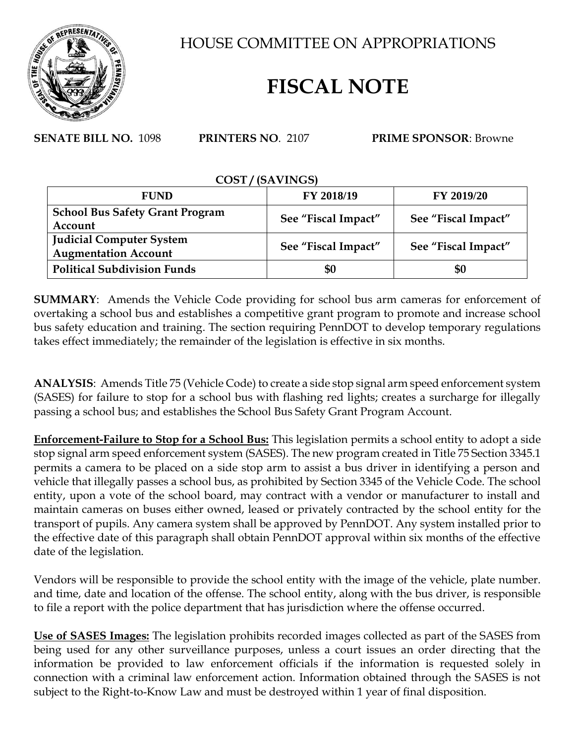

HOUSE COMMITTEE ON APPROPRIATIONS

## **FISCAL NOTE**

**SENATE BILL NO.** 1098 **PRINTERS NO**. 2107 **PRIME SPONSOR**: Browne

## **COST / (SAVINGS) FUND FY 2018/19 FY 2019/20 School Bus Safety Grant Program Account See "Fiscal Impact" See "Fiscal Impact" Judicial Computer System Augmentation Account See "Fiscal Impact" See "Fiscal Impact" Political Subdivision Funds \$0 \$0**

**SUMMARY**: Amends the Vehicle Code providing for school bus arm cameras for enforcement of overtaking a school bus and establishes a competitive grant program to promote and increase school bus safety education and training. The section requiring PennDOT to develop temporary regulations takes effect immediately; the remainder of the legislation is effective in six months.

**ANALYSIS**: Amends Title 75 (Vehicle Code) to create a side stop signal arm speed enforcement system (SASES) for failure to stop for a school bus with flashing red lights; creates a surcharge for illegally passing a school bus; and establishes the School Bus Safety Grant Program Account.

**Enforcement-Failure to Stop for a School Bus:** This legislation permits a school entity to adopt a side stop signal arm speed enforcement system (SASES). The new program created in Title 75 Section 3345.1 permits a camera to be placed on a side stop arm to assist a bus driver in identifying a person and vehicle that illegally passes a school bus, as prohibited by Section 3345 of the Vehicle Code. The school entity, upon a vote of the school board, may contract with a vendor or manufacturer to install and maintain cameras on buses either owned, leased or privately contracted by the school entity for the transport of pupils. Any camera system shall be approved by PennDOT. Any system installed prior to the effective date of this paragraph shall obtain PennDOT approval within six months of the effective date of the legislation.

Vendors will be responsible to provide the school entity with the image of the vehicle, plate number. and time, date and location of the offense. The school entity, along with the bus driver, is responsible to file a report with the police department that has jurisdiction where the offense occurred.

**Use of SASES Images:** The legislation prohibits recorded images collected as part of the SASES from being used for any other surveillance purposes, unless a court issues an order directing that the information be provided to law enforcement officials if the information is requested solely in connection with a criminal law enforcement action. Information obtained through the SASES is not subject to the Right-to-Know Law and must be destroyed within 1 year of final disposition.